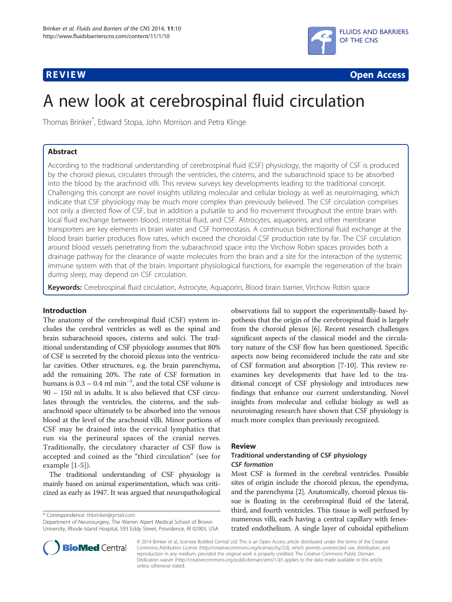

**REVIEW CONSTRUCTION CONSTRUCTION CONSTRUCTION CONSTRUCTS** 

# A new look at cerebrospinal fluid circulation

Thomas Brinker\* , Edward Stopa, John Morrison and Petra Klinge

# Abstract

According to the traditional understanding of cerebrospinal fluid (CSF) physiology, the majority of CSF is produced by the choroid plexus, circulates through the ventricles, the cisterns, and the subarachnoid space to be absorbed into the blood by the arachnoid villi. This review surveys key developments leading to the traditional concept. Challenging this concept are novel insights utilizing molecular and cellular biology as well as neuroimaging, which indicate that CSF physiology may be much more complex than previously believed. The CSF circulation comprises not only a directed flow of CSF, but in addition a pulsatile to and fro movement throughout the entire brain with local fluid exchange between blood, interstitial fluid, and CSF. Astrocytes, aquaporins, and other membrane transporters are key elements in brain water and CSF homeostasis. A continuous bidirectional fluid exchange at the blood brain barrier produces flow rates, which exceed the choroidal CSF production rate by far. The CSF circulation around blood vessels penetrating from the subarachnoid space into the Virchow Robin spaces provides both a drainage pathway for the clearance of waste molecules from the brain and a site for the interaction of the systemic immune system with that of the brain. Important physiological functions, for example the regeneration of the brain during sleep, may depend on CSF circulation.

Keywords: Cerebrospinal fluid circulation, Astrocyte, Aquaporin, Blood brain barrier, Virchow Robin space

#### Introduction

The anatomy of the cerebrospinal fluid (CSF) system includes the cerebral ventricles as well as the spinal and brain subarachnoid spaces, cisterns and sulci. The traditional understanding of CSF physiology assumes that 80% of CSF is secreted by the choroid plexus into the ventricular cavities. Other structures, e.g. the brain parenchyma, add the remaining 20%. The rate of CSF formation in humans is  $0.3 - 0.4$  ml  $min^{-1}$ , and the total CSF volume is 90 – 150 ml in adults. It is also believed that CSF circulates through the ventricles, the cisterns, and the subarachnoid space ultimately to be absorbed into the venous blood at the level of the arachnoid villi. Minor portions of CSF may be drained into the cervical lymphatics that run via the perineural spaces of the cranial nerves. Traditionally, the circulatory character of CSF flow is accepted and coined as the "third circulation" (see for example [\[1](#page-11-0)-[5\]](#page-11-0)).

The traditional understanding of CSF physiology is mainly based on animal experimentation, which was criticized as early as 1947. It was argued that neuropathological

\* Correspondence: [thbrinker@gmail.com](mailto:thbrinker@gmail.com)

Department of Neurosurgery, The Warren Alpert Medical School of Brown University, Rhode Island Hospital, 593 Eddy Street, Providence, RI 02903, USA observations fail to support the experimentally-based hypothesis that the origin of the cerebrospinal fluid is largely from the choroid plexus [[6\]](#page-11-0). Recent research challenges significant aspects of the classical model and the circulatory nature of the CSF flow has been questioned. Specific aspects now being reconsidered include the rate and site of CSF formation and absorption [[7-10\]](#page-11-0). This review reexamines key developments that have led to the traditional concept of CSF physiology and introduces new findings that enhance our current understanding. Novel insights from molecular and cellular biology as well as neuroimaging research have shown that CSF physiology is much more complex than previously recognized.

#### Review

# Traditional understanding of CSF physiology CSF formation

Most CSF is formed in the cerebral ventricles. Possible sites of origin include the choroid plexus, the ependyma, and the parenchyma [[2\]](#page-11-0). Anatomically, choroid plexus tissue is floating in the cerebrospinal fluid of the lateral, third, and fourth ventricles. This tissue is well perfused by numerous villi, each having a central capillary with fenestrated endothelium. A single layer of cuboidal epithelium



© 2014 Brinker et al.; licensee BioMed Central Ltd. This is an Open Access article distributed under the terms of the Creative Commons Attribution License [\(http://creativecommons.org/licenses/by/2.0\)](http://creativecommons.org/licenses/by/2.0), which permits unrestricted use, distribution, and reproduction in any medium, provided the original work is properly credited. The Creative Commons Public Domain Dedication waiver [\(http://creativecommons.org/publicdomain/zero/1.0/](http://creativecommons.org/publicdomain/zero/1.0/)) applies to the data made available in this article, unless otherwise stated.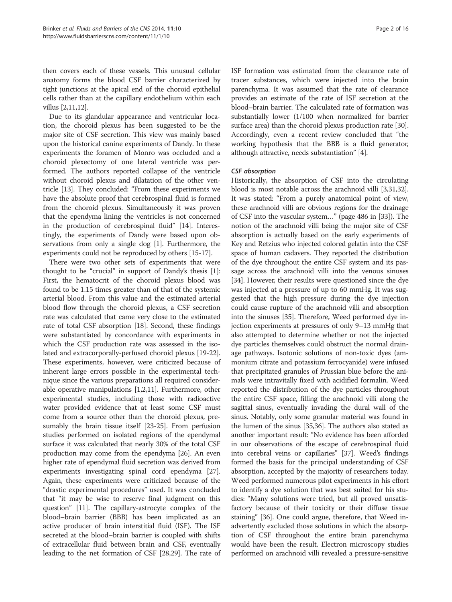then covers each of these vessels. This unusual cellular anatomy forms the blood CSF barrier characterized by tight junctions at the apical end of the choroid epithelial cells rather than at the capillary endothelium within each villus [\[2,11,12](#page-11-0)].

Due to its glandular appearance and ventricular location, the choroid plexus has been suggested to be the major site of CSF secretion. This view was mainly based upon the historical canine experiments of Dandy. In these experiments the foramen of Monro was occluded and a choroid plexectomy of one lateral ventricle was performed. The authors reported collapse of the ventricle without choroid plexus and dilatation of the other ventricle [[13](#page-11-0)]. They concluded: "From these experiments we have the absolute proof that cerebrospinal fluid is formed from the choroid plexus. Simultaneously it was proven that the ependyma lining the ventricles is not concerned in the production of cerebrospinal fluid" [\[14\]](#page-11-0). Interestingly, the experiments of Dandy were based upon observations from only a single dog [[1\]](#page-11-0). Furthermore, the experiments could not be reproduced by others [\[15-17\]](#page-11-0).

There were two other sets of experiments that were thought to be "crucial" in support of Dandy's thesis [[1](#page-11-0)]: First, the hematocrit of the choroid plexus blood was found to be 1.15 times greater than of that of the systemic arterial blood. From this value and the estimated arterial blood flow through the choroid plexus, a CSF secretion rate was calculated that came very close to the estimated rate of total CSF absorption [\[18\]](#page-11-0). Second, these findings were substantiated by concordance with experiments in which the CSF production rate was assessed in the isolated and extracorporally-perfused choroid plexus [[19](#page-12-0)-[22](#page-12-0)]. These experiments, however, were criticized because of inherent large errors possible in the experimental technique since the various preparations all required considerable operative manipulations [\[1,2,11\]](#page-11-0). Furthermore, other experimental studies, including those with radioactive water provided evidence that at least some CSF must come from a source other than the choroid plexus, presumably the brain tissue itself [\[23-25\]](#page-12-0). From perfusion studies performed on isolated regions of the ependymal surface it was calculated that nearly 30% of the total CSF production may come from the ependyma [[26](#page-12-0)]. An even higher rate of ependymal fluid secretion was derived from experiments investigating spinal cord ependyma [[27](#page-12-0)]. Again, these experiments were criticized because of the "drastic experimental procedures" used. It was concluded that "it may be wise to reserve final judgment on this question" [\[11\]](#page-11-0). The capillary-astrocyte complex of the blood–brain barrier (BBB) has been implicated as an active producer of brain interstitial fluid (ISF). The ISF secreted at the blood–brain barrier is coupled with shifts of extracellular fluid between brain and CSF, eventually leading to the net formation of CSF [\[28,29\]](#page-12-0). The rate of

ISF formation was estimated from the clearance rate of tracer substances, which were injected into the brain parenchyma. It was assumed that the rate of clearance provides an estimate of the rate of ISF secretion at the blood–brain barrier. The calculated rate of formation was substantially lower (1/100 when normalized for barrier surface area) than the choroid plexus production rate [[30](#page-12-0)]. Accordingly, even a recent review concluded that "the working hypothesis that the BBB is a fluid generator, although attractive, needs substantiation" [\[4\]](#page-11-0).

#### CSF absorption

Historically, the absorption of CSF into the circulating blood is most notable across the arachnoid villi [\[3](#page-11-0)[,31,32](#page-12-0)]. It was stated: "From a purely anatomical point of view, these arachnoid villi are obvious regions for the drainage of CSF into the vascular system…" (page 486 in [[33](#page-12-0)]). The notion of the arachnoid villi being the major site of CSF absorption is actually based on the early experiments of Key and Retzius who injected colored gelatin into the CSF space of human cadavers. They reported the distribution of the dye throughout the entire CSF system and its passage across the arachnoid villi into the venous sinuses [[34](#page-12-0)]. However, their results were questioned since the dye was injected at a pressure of up to 60 mmHg. It was suggested that the high pressure during the dye injection could cause rupture of the arachnoid villi and absorption into the sinuses [[35](#page-12-0)]. Therefore, Weed performed dye injection experiments at pressures of only 9–13 mmHg that also attempted to determine whether or not the injected dye particles themselves could obstruct the normal drainage pathways. Isotonic solutions of non-toxic dyes (ammonium citrate and potassium ferrocyanide) were infused that precipitated granules of Prussian blue before the animals were intravitally fixed with acidified formalin. Weed reported the distribution of the dye particles throughout the entire CSF space, filling the arachnoid villi along the sagittal sinus, eventually invading the dural wall of the sinus. Notably, only some granular material was found in the lumen of the sinus [[35,36](#page-12-0)]. The authors also stated as another important result: "No evidence has been afforded in our observations of the escape of cerebrospinal fluid into cerebral veins or capillaries" [\[37\]](#page-12-0). Weed's findings formed the basis for the principal understanding of CSF absorption, accepted by the majority of researchers today. Weed performed numerous pilot experiments in his effort to identify a dye solution that was best suited for his studies: "Many solutions were tried, but all proved unsatisfactory because of their toxicity or their diffuse tissue staining" [\[36\]](#page-12-0). One could argue, therefore, that Weed inadvertently excluded those solutions in which the absorption of CSF throughout the entire brain parenchyma would have been the result. Electron microscopy studies performed on arachnoid villi revealed a pressure-sensitive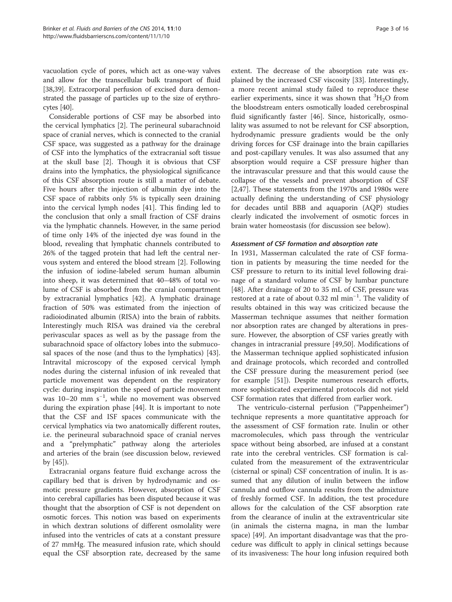vacuolation cycle of pores, which act as one-way valves and allow for the transcellular bulk transport of fluid [[38,39](#page-12-0)]. Extracorporal perfusion of excised dura demonstrated the passage of particles up to the size of erythrocytes [\[40\]](#page-12-0).

Considerable portions of CSF may be absorbed into the cervical lymphatics [[2\]](#page-11-0). The perineural subarachnoid space of cranial nerves, which is connected to the cranial CSF space, was suggested as a pathway for the drainage of CSF into the lymphatics of the extracranial soft tissue at the skull base [\[2\]](#page-11-0). Though it is obvious that CSF drains into the lymphatics, the physiological significance of this CSF absorption route is still a matter of debate. Five hours after the injection of albumin dye into the CSF space of rabbits only 5% is typically seen draining into the cervical lymph nodes [\[41\]](#page-12-0). This finding led to the conclusion that only a small fraction of CSF drains via the lymphatic channels. However, in the same period of time only 14% of the injected dye was found in the blood, revealing that lymphatic channels contributed to 26% of the tagged protein that had left the central nervous system and entered the blood stream [\[2](#page-11-0)]. Following the infusion of iodine-labeled serum human albumin into sheep, it was determined that 40–48% of total volume of CSF is absorbed from the cranial compartment by extracranial lymphatics [\[42](#page-12-0)]. A lymphatic drainage fraction of 50% was estimated from the injection of radioiodinated albumin (RISA) into the brain of rabbits. Interestingly much RISA was drained via the cerebral perivascular spaces as well as by the passage from the subarachnoid space of olfactory lobes into the submucosal spaces of the nose (and thus to the lymphatics) [\[43](#page-12-0)]. Intravital microscopy of the exposed cervical lymph nodes during the cisternal infusion of ink revealed that particle movement was dependent on the respiratory cycle: during inspiration the speed of particle movement was 10–20 mm s−<sup>1</sup> , while no movement was observed during the expiration phase [[44\]](#page-12-0). It is important to note that the CSF and ISF spaces communicate with the cervical lymphatics via two anatomically different routes, i.e. the perineural subarachnoid space of cranial nerves and a "prelymphatic" pathway along the arterioles and arteries of the brain (see discussion below, reviewed by  $|45|$ ).

Extracranial organs feature fluid exchange across the capillary bed that is driven by hydrodynamic and osmotic pressure gradients. However, absorption of CSF into cerebral capillaries has been disputed because it was thought that the absorption of CSF is not dependent on osmotic forces. This notion was based on experiments in which dextran solutions of different osmolality were infused into the ventricles of cats at a constant pressure of 27 mmHg. The measured infusion rate, which should equal the CSF absorption rate, decreased by the same

extent. The decrease of the absorption rate was explained by the increased CSF viscosity [\[33](#page-12-0)]. Interestingly, a more recent animal study failed to reproduce these earlier experiments, since it was shown that  ${}^{3}H_{2}O$  from the bloodstream enters osmotically loaded cerebrospinal fluid significantly faster [\[46](#page-12-0)]. Since, historically, osmolality was assumed to not be relevant for CSF absorption, hydrodynamic pressure gradients would be the only driving forces for CSF drainage into the brain capillaries and post-capillary venules. It was also assumed that any absorption would require a CSF pressure higher than the intravascular pressure and that this would cause the collapse of the vessels and prevent absorption of CSF [[2,](#page-11-0)[47\]](#page-12-0). These statements from the 1970s and 1980s were actually defining the understanding of CSF physiology for decades until BBB and aquaporin (AQP) studies clearly indicated the involvement of osmotic forces in brain water homeostasis (for discussion see below).

#### Assessment of CSF formation and absorption rate

In 1931, Masserman calculated the rate of CSF formation in patients by measuring the time needed for the CSF pressure to return to its initial level following drainage of a standard volume of CSF by lumbar puncture [[48\]](#page-12-0). After drainage of 20 to 35 mL of CSF, pressure was restored at a rate of about 0.32 ml min−<sup>1</sup> . The validity of results obtained in this way was criticized because the Masserman technique assumes that neither formation nor absorption rates are changed by alterations in pressure. However, the absorption of CSF varies greatly with changes in intracranial pressure [\[49,50\]](#page-12-0). Modifications of the Masserman technique applied sophisticated infusion and drainage protocols, which recorded and controlled the CSF pressure during the measurement period (see for example [\[51](#page-12-0)]). Despite numerous research efforts, more sophisticated experimental protocols did not yield CSF formation rates that differed from earlier work.

The ventriculo-cisternal perfusion ("Pappenheimer") technique represents a more quantitative approach for the assessment of CSF formation rate. Inulin or other macromolecules, which pass through the ventricular space without being absorbed, are infused at a constant rate into the cerebral ventricles. CSF formation is calculated from the measurement of the extraventricular (cisternal or spinal) CSF concentration of inulin. It is assumed that any dilution of inulin between the inflow cannula and outflow cannula results from the admixture of freshly formed CSF. In addition, the test procedure allows for the calculation of the CSF absorption rate from the clearance of inulin at the extraventricular site (in animals the cisterna magna, in man the lumbar space) [\[49\]](#page-12-0). An important disadvantage was that the procedure was difficult to apply in clinical settings because of its invasiveness: The hour long infusion required both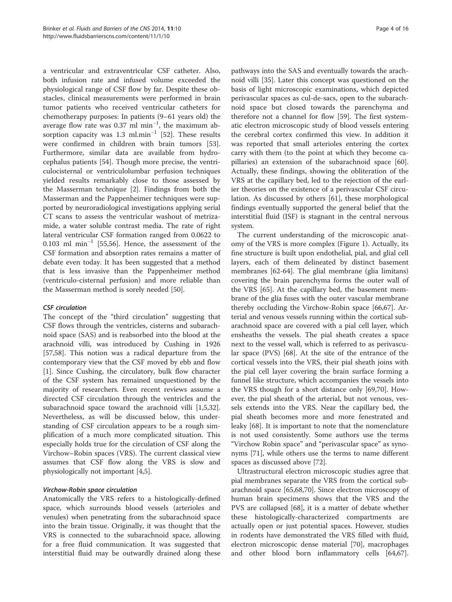a ventricular and extraventricular CSF catheter. Also, both infusion rate and infused volume exceeded the physiological range of CSF flow by far. Despite these obstacles, clinical measurements were performed in brain tumor patients who received ventricular catheters for chemotherapy purposes: In patients (9–61 years old) the average flow rate was 0.37 ml min−<sup>1</sup> , the maximum ab-sorption capacity was 1.3 ml.min<sup>-1</sup> [[52\]](#page-12-0). These results were confirmed in children with brain tumors [\[53](#page-12-0)]. Furthermore, similar data are available from hydrocephalus patients [\[54\]](#page-12-0). Though more precise, the ventriculocisternal or ventriculolumbar perfusion techniques yielded results remarkably close to those assessed by the Masserman technique [[2\]](#page-11-0). Findings from both the Masserman and the Pappenheimer techniques were supported by neuroradiological investigations applying serial CT scans to assess the ventricular washout of metrizamide, a water soluble contrast media. The rate of right lateral ventricular CSF formation ranged from 0.0622 to 0.103 ml min−<sup>1</sup> [\[55,56](#page-12-0)]. Hence, the assessment of the CSF formation and absorption rates remains a matter of debate even today. It has been suggested that a method that is less invasive than the Pappenheimer method (ventriculo-cisternal perfusion) and more reliable than the Masserman method is sorely needed [\[50](#page-12-0)].

# CSF circulation

The concept of the "third circulation" suggesting that CSF flows through the ventricles, cisterns and subarachnoid space (SAS) and is reabsorbed into the blood at the arachnoid villi, was introduced by Cushing in 1926 [[57,58\]](#page-12-0). This notion was a radical departure from the contemporary view that the CSF moved by ebb and flow [[1\]](#page-11-0). Since Cushing, the circulatory, bulk flow character of the CSF system has remained unquestioned by the majority of researchers. Even recent reviews assume a directed CSF circulation through the ventricles and the subarachnoid space toward the arachnoid villi [\[1,5](#page-11-0)[,32](#page-12-0)]. Nevertheless, as will be discussed below, this understanding of CSF circulation appears to be a rough simplification of a much more complicated situation. This especially holds true for the circulation of CSF along the Virchow–Robin spaces (VRS). The current classical view assumes that CSF flow along the VRS is slow and physiologically not important [[4,5\]](#page-11-0).

# Virchow-Robin space circulation

Anatomically the VRS refers to a histologically-defined space, which surrounds blood vessels (arterioles and venules) when penetrating from the subarachnoid space into the brain tissue. Originally, it was thought that the VRS is connected to the subarachnoid space, allowing for a free fluid communication. It was suggested that interstitial fluid may be outwardly drained along these

pathways into the SAS and eventually towards the arachnoid villi [[35\]](#page-12-0). Later this concept was questioned on the basis of light microscopic examinations, which depicted perivascular spaces as cul-de-sacs, open to the subarachnoid space but closed towards the parenchyma and therefore not a channel for flow [[59\]](#page-12-0). The first systematic electron microscopic study of blood vessels entering the cerebral cortex confirmed this view. In addition it was reported that small arterioles entering the cortex carry with them (to the point at which they become capillaries) an extension of the subarachnoid space [\[60](#page-12-0)]. Actually, these findings, showing the obliteration of the VRS at the capillary bed, led to the rejection of the earlier theories on the existence of a perivascular CSF circulation. As discussed by others [\[61\]](#page-12-0), these morphological findings eventually supported the general belief that the interstitial fluid (ISF) is stagnant in the central nervous system.

The current understanding of the microscopic anatomy of the VRS is more complex (Figure [1\)](#page-4-0). Actually, its fine structure is built upon endothelial, pial, and glial cell layers, each of them delineated by distinct basement membranes [[62](#page-12-0)-[64\]](#page-12-0). The glial membrane (glia limitans) covering the brain parenchyma forms the outer wall of the VRS [[65\]](#page-12-0). At the capillary bed, the basement membrane of the glia fuses with the outer vascular membrane thereby occluding the Virchow-Robin space [[66,67\]](#page-12-0). Arterial and venous vessels running within the cortical subarachnoid space are covered with a pial cell layer, which ensheaths the vessels. The pial sheath creates a space next to the vessel wall, which is referred to as perivascular space (PVS) [[68\]](#page-12-0). At the site of the entrance of the cortical vessels into the VRS, their pial sheath joins with the pial cell layer covering the brain surface forming a funnel like structure, which accompanies the vessels into the VRS though for a short distance only [[69](#page-12-0),[70](#page-12-0)]. However, the pial sheath of the arterial, but not venous, vessels extends into the VRS. Near the capillary bed, the pial sheath becomes more and more fenestrated and leaky [[68\]](#page-12-0). It is important to note that the nomenclature is not used consistently. Some authors use the terms "Virchow Robin space" and "perivascular space" as synonyms [\[71](#page-12-0)], while others use the terms to name different spaces as discussed above [[72\]](#page-13-0).

Ultrastructural electron microscopic studies agree that pial membranes separate the VRS from the cortical subarachnoid space [[65,68,70\]](#page-12-0). Since electron microscopy of human brain specimens shows that the VRS and the PVS are collapsed [\[68](#page-12-0)], it is a matter of debate whether these histologically-characterized compartments are actually open or just potential spaces. However, studies in rodents have demonstrated the VRS filled with fluid, electron microscopic dense material [\[70](#page-12-0)], macrophages and other blood born inflammatory cells [\[64,67](#page-12-0)].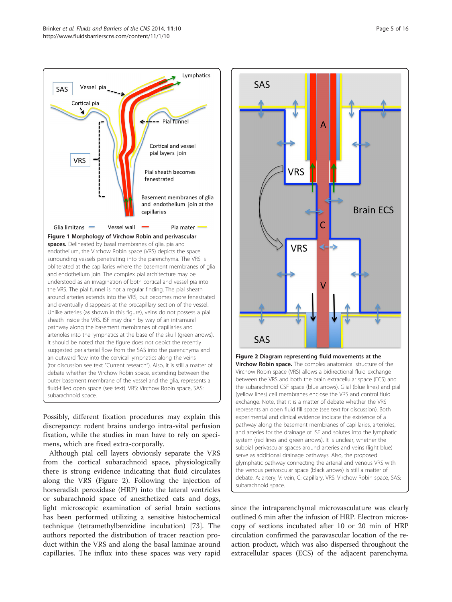<span id="page-4-0"></span>

Possibly, different fixation procedures may explain this discrepancy: rodent brains undergo intra-vital perfusion fixation, while the studies in man have to rely on specimens, which are fixed extra-corporally.

Although pial cell layers obviously separate the VRS from the cortical subarachnoid space, physiologically there is strong evidence indicating that fluid circulates along the VRS (Figure 2). Following the injection of horseradish peroxidase (HRP) into the lateral ventricles or subarachnoid space of anesthetized cats and dogs, light microscopic examination of serial brain sections has been performed utilizing a sensitive histochemical technique (tetramethylbenzidine incubation) [\[73](#page-13-0)]. The authors reported the distribution of tracer reaction product within the VRS and along the basal laminae around capillaries. The influx into these spaces was very rapid



Figure 2 Diagram representing fluid movements at the Virchow Robin space. The complex anatomical structure of the Virchow Robin space (VRS) allows a bidirectional fluid exchange between the VRS and both the brain extracellular space (ECS) and the subarachnoid CSF space (blue arrows). Glial (blue lines) and pial (yellow lines) cell membranes enclose the VRS and control fluid exchange. Note, that it is a matter of debate whether the VRS represents an open fluid fill space (see text for discussion). Both experimental and clinical evidence indicate the existence of a pathway along the basement membranes of capillaries, arterioles, and arteries for the drainage of ISF and solutes into the lymphatic system (red lines and green arrows). It is unclear, whether the subpial perivascular spaces around arteries and veins (light blue) serve as additional drainage pathways. Also, the proposed glymphatic pathway connecting the arterial and venous VRS with the venous perivascular space (black arrows) is still a matter of debate. A: artery, V: vein, C: capillary, VRS: Virchow Robin space, SAS: subarachnoid space.

since the intraparenchymal microvasculature was clearly outlined 6 min after the infusion of HRP. Electron microscopy of sections incubated after 10 or 20 min of HRP circulation confirmed the paravascular location of the reaction product, which was also dispersed throughout the extracellular spaces (ECS) of the adjacent parenchyma.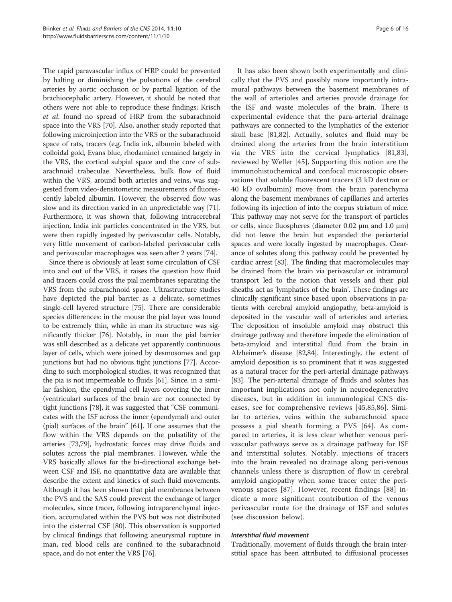The rapid paravascular influx of HRP could be prevented by halting or diminishing the pulsations of the cerebral arteries by aortic occlusion or by partial ligation of the brachiocephalic artery. However, it should be noted that others were not able to reproduce these findings; Krisch et al. found no spread of HRP from the subarachnoid space into the VRS [[70](#page-12-0)]. Also, another study reported that following microinjection into the VRS or the subarachnoid space of rats, tracers (e.g. India ink, albumin labeled with colloidal gold, Evans blue, rhodamine) remained largely in the VRS, the cortical subpial space and the core of subarachnoid trabeculae. Nevertheless, bulk flow of fluid within the VRS, around both arteries and veins, was suggested from video-densitometric measurements of fluorescently labeled albumin. However, the observed flow was slow and its direction varied in an unpredictable way [[71](#page-12-0)]. Furthermore, it was shown that, following intracerebral injection, India ink particles concentrated in the VRS, but were then rapidly ingested by perivascular cells. Notably, very little movement of carbon-labeled perivascular cells and perivascular macrophages was seen after 2 years [[74](#page-13-0)].

Since there is obviously at least some circulation of CSF into and out of the VRS, it raises the question how fluid and tracers could cross the pial membranes separating the VRS from the subarachnoid space. Ultrastructure studies have depicted the pial barrier as a delicate, sometimes single-cell layered structure [[75\]](#page-13-0). There are considerable species differences: in the mouse the pial layer was found to be extremely thin, while in man its structure was significantly thicker [\[76\]](#page-13-0). Notably, in man the pial barrier was still described as a delicate yet apparently continuous layer of cells, which were joined by desmosomes and gap junctions but had no obvious tight junctions [\[77\]](#page-13-0). According to such morphological studies, it was recognized that the pia is not impermeable to fluids [\[61](#page-12-0)]. Since, in a similar fashion, the ependymal cell layers covering the inner (ventricular) surfaces of the brain are not connected by tight junctions [\[78\]](#page-13-0), it was suggested that "CSF communicates with the ISF across the inner (ependymal) and outer (pial) surfaces of the brain" [\[61\]](#page-12-0). If one assumes that the flow within the VRS depends on the pulsatility of the arteries [\[73,79](#page-13-0)], hydrostatic forces may drive fluids and solutes across the pial membranes. However, while the VRS basically allows for the bi-directional exchange between CSF and ISF, no quantitative data are available that describe the extent and kinetics of such fluid movements. Although it has been shown that pial membranes between the PVS and the SAS could prevent the exchange of larger molecules, since tracer, following intraparenchymal injection, accumulated within the PVS but was not distributed into the cisternal CSF [[80](#page-13-0)]. This observation is supported by clinical findings that following aneurysmal rupture in man, red blood cells are confined to the subarachnoid space, and do not enter the VRS [[76](#page-13-0)].

It has also been shown both experimentally and clinically that the PVS and possibly more importantly intramural pathways between the basement membranes of the wall of arterioles and arteries provide drainage for the ISF and waste molecules of the brain. There is experimental evidence that the para-arterial drainage pathways are connected to the lymphatics of the exterior skull base [\[81](#page-13-0),[82\]](#page-13-0). Actually, solutes and fluid may be drained along the arteries from the brain interstitium via the VRS into the cervical lymphatics [[81,83](#page-13-0)], reviewed by Weller [\[45](#page-12-0)]. Supporting this notion are the immunohistochemical and confocal microscopic observations that soluble fluorescent tracers (3 kD dextran or 40 kD ovalbumin) move from the brain parenchyma along the basement membranes of capillaries and arteries following its injection of into the corpus striatum of mice. This pathway may not serve for the transport of particles or cells, since fluospheres (diameter 0.02 μm and 1.0 μm) did not leave the brain but expanded the periarterial spaces and were locally ingested by macrophages. Clearance of solutes along this pathway could be prevented by cardiac arrest [\[83](#page-13-0)]. The finding that macromolecules may be drained from the brain via perivascular or intramural transport led to the notion that vessels and their pial sheaths act as 'lymphatics of the brain'. These findings are clinically significant since based upon observations in patients with cerebral amyloid angiopathy, beta-amyloid is deposited in the vascular wall of arterioles and arteries. The deposition of insoluble amyloid may obstruct this drainage pathway and therefore impede the elimination of beta-amyloid and interstitial fluid from the brain in Alzheimer's disease [\[82,84\]](#page-13-0). Interestingly, the extent of amyloid deposition is so prominent that it was suggested as a natural tracer for the peri-arterial drainage pathways [[83](#page-13-0)]. The peri-arterial drainage of fluids and solutes has important implications not only in neurodegenerative diseases, but in addition in immunological CNS diseases, see for comprehensive reviews [[45,](#page-12-0)[85,86](#page-13-0)]. Similar to arteries, veins within the subarachnoid space possess a pial sheath forming a PVS [\[64](#page-12-0)]. As compared to arteries, it is less clear whether venous perivascular pathways serve as a drainage pathway for ISF and interstitial solutes. Notably, injections of tracers into the brain revealed no drainage along peri-venous channels unless there is disruption of flow in cerebral amyloid angiopathy when some tracer enter the perivenous spaces [[87](#page-13-0)]. However, recent findings [[88](#page-13-0)] indicate a more significant contribution of the venous perivascular route for the drainage of ISF and solutes (see discussion below).

#### Interstitial fluid movement

Traditionally, movement of fluids through the brain interstitial space has been attributed to diffusional processes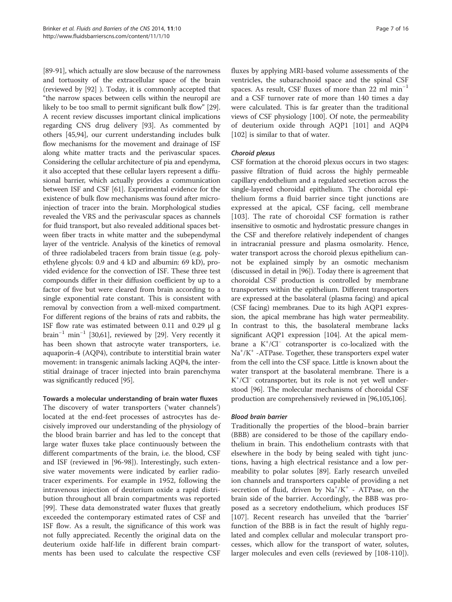[[89](#page-13-0)-[91\]](#page-13-0), which actually are slow because of the narrowness and tortuosity of the extracellular space of the brain (reviewed by [[92](#page-13-0)] ). Today, it is commonly accepted that "the narrow spaces between cells within the neuropil are likely to be too small to permit significant bulk flow" [[29](#page-12-0)]. A recent review discusses important clinical implications regarding CNS drug delivery [\[93\]](#page-13-0). As commented by others [\[45](#page-12-0)[,94\]](#page-13-0), our current understanding includes bulk flow mechanisms for the movement and drainage of ISF along white matter tracts and the perivascular spaces. Considering the cellular architecture of pia and ependyma, it also accepted that these cellular layers represent a diffusional barrier, which actually provides a communication between ISF and CSF [\[61](#page-12-0)]. Experimental evidence for the existence of bulk flow mechanisms was found after microinjection of tracer into the brain. Morphological studies revealed the VRS and the perivascular spaces as channels for fluid transport, but also revealed additional spaces between fiber tracts in white matter and the subependymal layer of the ventricle. Analysis of the kinetics of removal of three radiolabeled tracers from brain tissue (e.g. polyethylene glycols: 0.9 and 4 kD and albumin: 69 kD), provided evidence for the convection of ISF. These three test compounds differ in their diffusion coefficient by up to a factor of five but were cleared from brain according to a single exponential rate constant. This is consistent with removal by convection from a well-mixed compartment. For different regions of the brains of rats and rabbits, the ISF flow rate was estimated between 0.11 and 0.29 μl g brain<sup>-1</sup> min<sup>-1</sup> [\[30,61\]](#page-12-0), reviewed by [\[29\]](#page-12-0). Very recently it has been shown that astrocyte water transporters, i.e. aquaporin-4 (AQP4), contribute to interstitial brain water movement: in transgenic animals lacking AQP4, the interstitial drainage of tracer injected into brain parenchyma was significantly reduced [\[95\]](#page-13-0).

#### Towards a molecular understanding of brain water fluxes

The discovery of water transporters ('water channels') located at the end-feet processes of astrocytes has decisively improved our understanding of the physiology of the blood brain barrier and has led to the concept that large water fluxes take place continuously between the different compartments of the brain, i.e. the blood, CSF and ISF (reviewed in [\[96-98](#page-13-0)]). Interestingly, such extensive water movements were indicated by earlier radiotracer experiments. For example in 1952, following the intravenous injection of deuterium oxide a rapid distribution throughout all brain compartments was reported [[99\]](#page-13-0). These data demonstrated water fluxes that greatly exceeded the contemporary estimated rates of CSF and ISF flow. As a result, the significance of this work was not fully appreciated. Recently the original data on the deuterium oxide half-life in different brain compartments has been used to calculate the respective CSF

fluxes by applying MRI-based volume assessments of the ventricles, the subarachnoid space and the spinal CSF spaces. As result, CSF fluxes of more than 22 ml  $min^{-1}$ and a CSF turnover rate of more than 140 times a day were calculated. This is far greater than the traditional views of CSF physiology [\[100\]](#page-13-0). Of note, the permeability of deuterium oxide through AQP1 [\[101](#page-13-0)] and AQP4 [[102\]](#page-13-0) is similar to that of water.

# Choroid plexus

CSF formation at the choroid plexus occurs in two stages: passive filtration of fluid across the highly permeable capillary endothelium and a regulated secretion across the single-layered choroidal epithelium. The choroidal epithelium forms a fluid barrier since tight junctions are expressed at the apical, CSF facing, cell membrane [[103\]](#page-13-0). The rate of choroidal CSF formation is rather insensitive to osmotic and hydrostatic pressure changes in the CSF and therefore relatively independent of changes in intracranial pressure and plasma osmolarity. Hence, water transport across the choroid plexus epithelium cannot be explained simply by an osmotic mechanism (discussed in detail in [\[96\]](#page-13-0)). Today there is agreement that choroidal CSF production is controlled by membrane transporters within the epithelium. Different transporters are expressed at the basolateral (plasma facing) and apical (CSF facing) membranes. Due to its high AQP1 expression, the apical membrane has high water permeability. In contrast to this, the basolateral membrane lacks significant AQP1 expression [\[104\]](#page-13-0). At the apical membrane a K+ /Cl<sup>−</sup> cotransporter is co-localized with the Na<sup>+</sup>/K<sup>+</sup> -ATPase. Together, these transporters expel water from the cell into the CSF space. Little is known about the water transport at the basolateral membrane. There is a K+ /Cl<sup>−</sup> cotransporter, but its role is not yet well understood [[96](#page-13-0)]. The molecular mechanisms of choroidal CSF production are comprehensively reviewed in [[96,105,106](#page-13-0)].

#### Blood brain barrier

Traditionally the properties of the blood–brain barrier (BBB) are considered to be those of the capillary endothelium in brain. This endothelium contrasts with that elsewhere in the body by being sealed with tight junctions, having a high electrical resistance and a low permeability to polar solutes [[89\]](#page-13-0). Early research unveiled ion channels and transporters capable of providing a net secretion of fluid, driven by Na<sup>+</sup>/K<sup>+</sup> - ATPase, on the brain side of the barrier. Accordingly, the BBB was proposed as a secretory endothelium, which produces ISF [[107\]](#page-13-0). Recent research has unveiled that the 'barrier' function of the BBB is in fact the result of highly regulated and complex cellular and molecular transport processes, which allow for the transport of water, solutes, larger molecules and even cells (reviewed by [\[108-110](#page-13-0)]).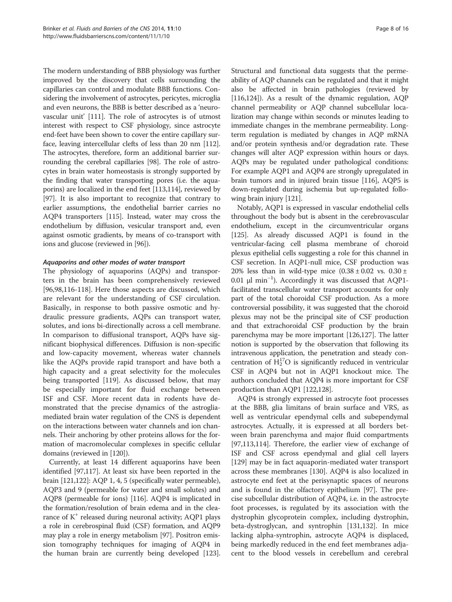The modern understanding of BBB physiology was further improved by the discovery that cells surrounding the capillaries can control and modulate BBB functions. Considering the involvement of astrocytes, pericytes, microglia and even neurons, the BBB is better described as a 'neurovascular unit' [\[111\]](#page-13-0). The role of astrocytes is of utmost interest with respect to CSF physiology, since astrocyte end-feet have been shown to cover the entire capillary surface, leaving intercellular clefts of less than 20 nm [[112](#page-13-0)]. The astrocytes, therefore, form an additional barrier surrounding the cerebral capillaries [\[98\]](#page-13-0). The role of astrocytes in brain water homeostasis is strongly supported by the finding that water transporting pores (i.e. the aquaporins) are localized in the end feet [\[113,114](#page-13-0)], reviewed by [[97](#page-13-0)]. It is also important to recognize that contrary to earlier assumptions, the endothelial barrier carries no AQP4 transporters [\[115](#page-13-0)]. Instead, water may cross the endothelium by diffusion, vesicular transport and, even against osmotic gradients, by means of co-transport with ions and glucose (reviewed in [\[96\]](#page-13-0)).

# Aquaporins and other modes of water transport

The physiology of aquaporins (AQPs) and transporters in the brain has been comprehensively reviewed [[96,98,116-](#page-13-0)[118\]](#page-14-0). Here those aspects are discussed, which are relevant for the understanding of CSF circulation. Basically, in response to both passive osmotic and hydraulic pressure gradients, AQPs can transport water, solutes, and ions bi-directionally across a cell membrane. In comparison to diffusional transport, AQPs have significant biophysical differences. Diffusion is non-specific and low-capacity movement, whereas water channels like the AQPs provide rapid transport and have both a high capacity and a great selectivity for the molecules being transported [[119](#page-14-0)]. As discussed below, that may be especially important for fluid exchange between ISF and CSF. More recent data in rodents have demonstrated that the precise dynamics of the astrogliamediated brain water regulation of the CNS is dependent on the interactions between water channels and ion channels. Their anchoring by other proteins allows for the formation of macromolecular complexes in specific cellular domains (reviewed in [\[120](#page-14-0)]).

Currently, at least 14 different aquaporins have been identified [[97,117\]](#page-13-0). At least six have been reported in the brain [\[121,122](#page-14-0)]: AQP 1, 4, 5 (specifically water permeable), AQP3 and 9 (permeable for water and small solutes) and AQP8 (permeable for ions) [\[116\]](#page-13-0). AQP4 is implicated in the formation/resolution of brain edema and in the clearance of  $K^+$  released during neuronal activity; AQP1 plays a role in cerebrospinal fluid (CSF) formation, and AQP9 may play a role in energy metabolism [\[97\]](#page-13-0). Positron emission tomography techniques for imaging of AQP4 in the human brain are currently being developed [[123](#page-14-0)].

Structural and functional data suggests that the permeability of AQP channels can be regulated and that it might also be affected in brain pathologies (reviewed by [[116](#page-13-0)[,124\]](#page-14-0)). As a result of the dynamic regulation, AQP channel permeability or AQP channel subcellular localization may change within seconds or minutes leading to immediate changes in the membrane permeability. Longterm regulation is mediated by changes in AQP mRNA and/or protein synthesis and/or degradation rate. These changes will alter AQP expression within hours or days. AQPs may be regulated under pathological conditions: For example AQP1 and AQP4 are strongly upregulated in brain tumors and in injured brain tissue [[116](#page-13-0)], AQP5 is down-regulated during ischemia but up-regulated following brain injury [[121](#page-14-0)].

Notably, AQP1 is expressed in vascular endothelial cells throughout the body but is absent in the cerebrovascular endothelium, except in the circumventricular organs [[125](#page-14-0)]. As already discussed AQP1 is found in the ventricular-facing cell plasma membrane of choroid plexus epithelial cells suggesting a role for this channel in CSF secretion. In AQP1-null mice, CSF production was 20% less than in wild-type mice  $(0.38 \pm 0.02 \text{ vs. } 0.30 \pm 0.02 \text{ vs. } 0.30 \pm 0.02 \text{ vs. } 0.30 \pm 0.02 \text{ vs. } 0.30 \pm 0.02 \text{ vs. } 0.30 \pm 0.02 \text{ vs. } 0.30 \pm 0.02 \text{ vs. } 0.30 \pm 0.02 \text{ vs. } 0.30 \pm 0.02 \text{ vs. } 0.30 \pm 0.02 \text{ vs. } 0.30 \pm$ 0.01 μl min−<sup>1</sup> ). Accordingly it was discussed that AQP1 facilitated transcellular water transport accounts for only part of the total choroidal CSF production. As a more controversial possibility, it was suggested that the choroid plexus may not be the principal site of CSF production and that extrachoroidal CSF production by the brain parenchyma may be more important [\[126,127](#page-14-0)]. The latter notion is supported by the observation that following its intravenous application, the penetration and steady concentration of  $H_2^{17}O$  is significantly reduced in ventricular CSF in AQP4 but not in AQP1 knockout mice. The authors concluded that AQP4 is more important for CSF production than AQP1 [[122,128\]](#page-14-0).

AQP4 is strongly expressed in astrocyte foot processes at the BBB, glia limitans of brain surface and VRS, as well as ventricular ependymal cells and subependymal astrocytes. Actually, it is expressed at all borders between brain parenchyma and major fluid compartments [[97,113,114](#page-13-0)]. Therefore, the earlier view of exchange of ISF and CSF across ependymal and glial cell layers [[129\]](#page-14-0) may be in fact aquaporin-mediated water transport across these membranes [\[130](#page-14-0)]. AQP4 is also localized in astrocyte end feet at the perisynaptic spaces of neurons and is found in the olfactory epithelium [\[97\]](#page-13-0). The precise subcellular distribution of AQP4, i.e. in the astrocyte foot processes, is regulated by its association with the dystrophin glycoprotein complex, including dystrophin, beta-dystroglycan, and syntrophin [\[131,132](#page-14-0)]. In mice lacking alpha-syntrophin, astrocyte AQP4 is displaced, being markedly reduced in the end feet membranes adjacent to the blood vessels in cerebellum and cerebral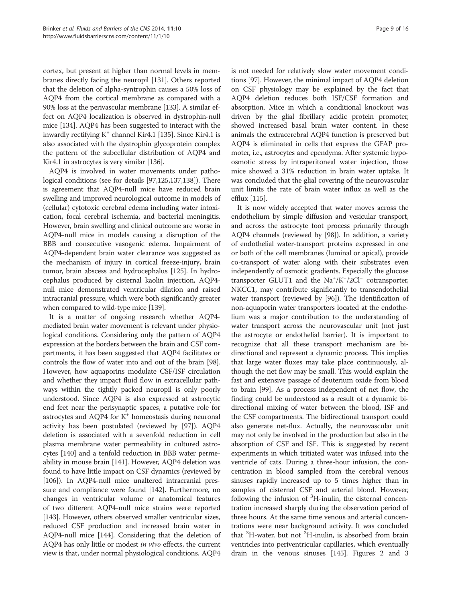cortex, but present at higher than normal levels in membranes directly facing the neuropil [[131](#page-14-0)]. Others reported that the deletion of alpha-syntrophin causes a 50% loss of AQP4 from the cortical membrane as compared with a 90% loss at the perivascular membrane [\[133\]](#page-14-0). A similar effect on AQP4 localization is observed in dystrophin-null mice [\[134](#page-14-0)]. AQP4 has been suggested to interact with the inwardly rectifying  $K^+$  channel Kir4.1 [\[135\]](#page-14-0). Since Kir4.1 is also associated with the dystrophin glycoprotein complex the pattern of the subcellular distribution of AQP4 and Kir4.1 in astrocytes is very similar [\[136](#page-14-0)].

AQP4 is involved in water movements under pathological conditions (see for details [\[97,](#page-13-0)[125,137,138](#page-14-0)]). There is agreement that AQP4-null mice have reduced brain swelling and improved neurological outcome in models of (cellular) cytotoxic cerebral edema including water intoxication, focal cerebral ischemia, and bacterial meningitis. However, brain swelling and clinical outcome are worse in AQP4-null mice in models causing a disruption of the BBB and consecutive vasogenic edema. Impairment of AQP4-dependent brain water clearance was suggested as the mechanism of injury in cortical freeze-injury, brain tumor, brain abscess and hydrocephalus [[125](#page-14-0)]. In hydrocephalus produced by cisternal kaolin injection, AQP4 null mice demonstrated ventricular dilation and raised intracranial pressure, which were both significantly greater when compared to wild-type mice [[139](#page-14-0)].

It is a matter of ongoing research whether AQP4 mediated brain water movement is relevant under physiological conditions. Considering only the pattern of AQP4 expression at the borders between the brain and CSF compartments, it has been suggested that AQP4 facilitates or controls the flow of water into and out of the brain [[98](#page-13-0)]. However, how aquaporins modulate CSF/ISF circulation and whether they impact fluid flow in extracellular pathways within the tightly packed neuropil is only poorly understood. Since AQP4 is also expressed at astrocytic end feet near the perisynaptic spaces, a putative role for astrocytes and AQP4 for  $K^+$  homeostasis during neuronal activity has been postulated (reviewed by [\[97](#page-13-0)]). AQP4 deletion is associated with a sevenfold reduction in cell plasma membrane water permeability in cultured astrocytes [\[140](#page-14-0)] and a tenfold reduction in BBB water permeability in mouse brain [\[141\]](#page-14-0). However, AQP4 deletion was found to have little impact on CSF dynamics (reviewed by [[106](#page-13-0)]). In AQP4-null mice unaltered intracranial pressure and compliance were found [\[142](#page-14-0)]. Furthermore, no changes in ventricular volume or anatomical features of two different AQP4-null mice strains were reported [[143](#page-14-0)]. However, others observed smaller ventricular sizes, reduced CSF production and increased brain water in AQP4-null mice [[144](#page-14-0)]. Considering that the deletion of AQP4 has only little or modest in vivo effects, the current view is that, under normal physiological conditions, AQP4 is not needed for relatively slow water movement conditions [\[97\]](#page-13-0). However, the minimal impact of AQP4 deletion on CSF physiology may be explained by the fact that AQP4 deletion reduces both ISF/CSF formation and absorption. Mice in which a conditional knockout was driven by the glial fibrillary acidic protein promoter, showed increased basal brain water content. In these animals the extracerebral AQP4 function is preserved but AQP4 is eliminated in cells that express the GFAP promoter, i.e., astrocytes and ependyma. After systemic hypoosmotic stress by intraperitoneal water injection, those mice showed a 31% reduction in brain water uptake. It was concluded that the glial covering of the neurovascular unit limits the rate of brain water influx as well as the efflux [[115](#page-13-0)].

It is now widely accepted that water moves across the endothelium by simple diffusion and vesicular transport, and across the astrocyte foot process primarily through AQP4 channels (reviewed by [[98\]](#page-13-0)). In addition, a variety of endothelial water-transport proteins expressed in one or both of the cell membranes (luminal or apical), provide co-transport of water along with their substrates even independently of osmotic gradients. Especially the glucose transporter GLUT1 and the Na<sup>+</sup>/K<sup>+</sup>/2Cl<sup>−</sup> cotransporter, NKCC1, may contribute significantly to transendothelial water transport (reviewed by [[96](#page-13-0)]). The identification of non-aquaporin water transporters located at the endothelium was a major contribution to the understanding of water transport across the neurovascular unit (not just the astrocyte or endothelial barrier). It is important to recognize that all these transport mechanism are bidirectional and represent a dynamic process. This implies that large water fluxes may take place continuously, although the net flow may be small. This would explain the fast and extensive passage of deuterium oxide from blood to brain [[99](#page-13-0)]. As a process independent of net flow, the finding could be understood as a result of a dynamic bidirectional mixing of water between the blood, ISF and the CSF compartments. The bidirectional transport could also generate net-flux. Actually, the neurovascular unit may not only be involved in the production but also in the absorption of CSF and ISF. This is suggested by recent experiments in which tritiated water was infused into the ventricle of cats. During a three-hour infusion, the concentration in blood sampled from the cerebral venous sinuses rapidly increased up to 5 times higher than in samples of cisternal CSF and arterial blood. However, following the infusion of  ${}^{3}$ H-inulin, the cisternal concentration increased sharply during the observation period of three hours. At the same time venous and arterial concentrations were near background activity. It was concluded that  ${}^{3}$ H-water, but not  ${}^{3}$ H-inulin, is absorbed from brain ventricles into periventricular capillaries, which eventually drain in the venous sinuses [[145](#page-14-0)]. Figures [2](#page-4-0) and [3](#page-9-0)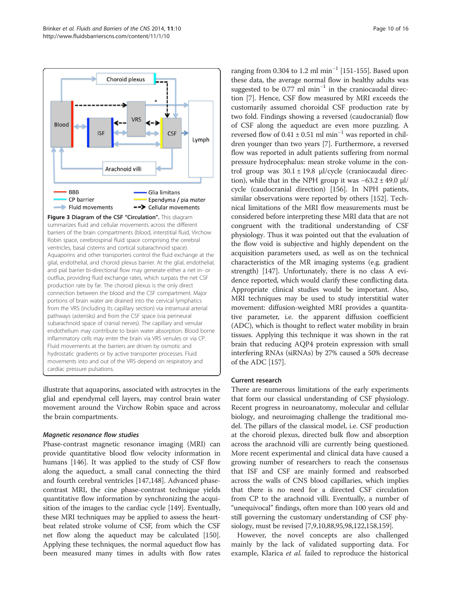<span id="page-9-0"></span>

inflammatory cells may enter the brain via VRS venules or via CP. Fluid movements at the barriers are driven by osmotic and hydrostatic gradients or by active transporter processes. Fluid movements into and out of the VRS depend on respiratory and cardiac pressure pulsations.

illustrate that aquaporins, associated with astrocytes in the glial and ependymal cell layers, may control brain water movement around the Virchow Robin space and across the brain compartments.

#### Magnetic resonance flow studies

Phase-contrast magnetic resonance imaging (MRI) can provide quantitative blood flow velocity information in humans [\[146\]](#page-14-0). It was applied to the study of CSF flow along the aqueduct, a small canal connecting the third and fourth cerebral ventricles [\[147,148](#page-14-0)]. Advanced phasecontrast MRI, the cine phase-contrast technique yields quantitative flow information by synchronizing the acquisition of the images to the cardiac cycle [\[149\]](#page-14-0). Eventually, these MRI techniques may be applied to assess the heartbeat related stroke volume of CSF, from which the CSF net flow along the aqueduct may be calculated [[150](#page-14-0)]. Applying these techniques, the normal aqueduct flow has been measured many times in adults with flow rates

ranging from 0.304 to 1.2 ml min<sup>-1</sup> [[151](#page-14-0)-[155](#page-14-0)]. Based upon these data, the average normal flow in healthy adults was suggested to be 0.77 ml min<sup>-1</sup> in the craniocaudal direction [[7](#page-11-0)]. Hence, CSF flow measured by MRI exceeds the customarily assumed choroidal CSF production rate by two fold. Findings showing a reversed (caudocranial) flow of CSF along the aqueduct are even more puzzling. A reversed flow of  $0.41 \pm 0.51$  ml min<sup>-1</sup> was reported in children younger than two years [[7\]](#page-11-0). Furthermore, a reversed flow was reported in adult patients suffering from normal pressure hydrocephalus: mean stroke volume in the control group was  $30.1 \pm 19.8$  μl/cycle (craniocaudal direction), while that in the NPH group it was  $-63.2 \pm 49.0$  µl/ cycle (caudocranial direction) [\[156\]](#page-14-0). In NPH patients, similar observations were reported by others [[152](#page-14-0)]. Technical limitations of the MRI flow measurements must be considered before interpreting these MRI data that are not congruent with the traditional understanding of CSF physiology. Thus it was pointed out that the evaluation of the flow void is subjective and highly dependent on the acquisition parameters used, as well as on the technical characteristics of the MR imaging systems (e.g. gradient strength) [[147](#page-14-0)]. Unfortunately, there is no class A evidence reported, which would clarify these conflicting data. Appropriate clinical studies would be important. Also, MRI techniques may be used to study interstitial water movement: diffusion-weighted MRI provides a quantitative parameter, i.e. the apparent diffusion coefficient (ADC), which is thought to reflect water mobility in brain tissues. Applying this technique it was shown in the rat brain that reducing AQP4 protein expression with small interfering RNAs (siRNAs) by 27% caused a 50% decrease of the ADC [[157](#page-14-0)].

#### Current research

There are numerous limitations of the early experiments that form our classical understanding of CSF physiology. Recent progress in neuroanatomy, molecular and cellular biology, and neuroimaging challenge the traditional model. The pillars of the classical model, i.e. CSF production at the choroid plexus, directed bulk flow and absorption across the arachnoid villi are currently being questioned. More recent experimental and clinical data have caused a growing number of researchers to reach the consensus that ISF and CSF are mainly formed and reabsorbed across the walls of CNS blood capillaries, which implies that there is no need for a directed CSF circulation from CP to the arachnoid villi. Eventually, a number of "unequivocal" findings, often more than 100 years old and still governing the customary understanding of CSF physiology, must be revised [\[7,9,10,](#page-11-0)[88,95,98,](#page-13-0)[122,158,159](#page-14-0)].

However, the novel concepts are also challenged mainly by the lack of validated supporting data. For example, Klarica et al. failed to reproduce the historical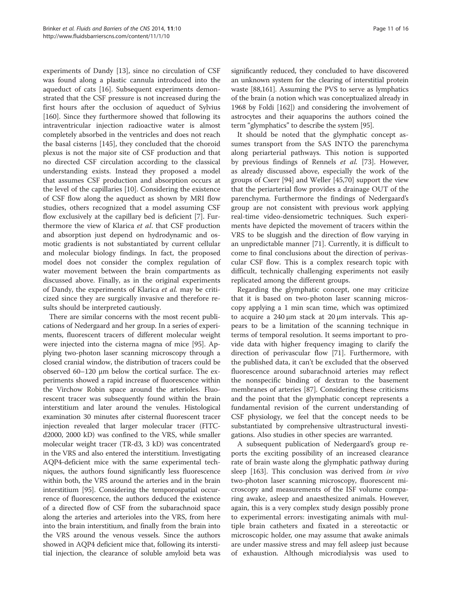experiments of Dandy [\[13](#page-11-0)], since no circulation of CSF was found along a plastic cannula introduced into the aqueduct of cats [[16](#page-11-0)]. Subsequent experiments demonstrated that the CSF pressure is not increased during the first hours after the occlusion of aqueduct of Sylvius [[160\]](#page-14-0). Since they furthermore showed that following its intraventricular injection radioactive water is almost completely absorbed in the ventricles and does not reach the basal cisterns [\[145\]](#page-14-0), they concluded that the choroid plexus is not the major site of CSF production and that no directed CSF circulation according to the classical understanding exists. Instead they proposed a model that assumes CSF production and absorption occurs at the level of the capillaries [\[10\]](#page-11-0). Considering the existence of CSF flow along the aqueduct as shown by MRI flow studies, others recognized that a model assuming CSF flow exclusively at the capillary bed is deficient [\[7](#page-11-0)]. Furthermore the view of Klarica et al. that CSF production and absorption just depend on hydrodynamic and osmotic gradients is not substantiated by current cellular and molecular biology findings. In fact, the proposed model does not consider the complex regulation of water movement between the brain compartments as discussed above. Finally, as in the original experiments of Dandy, the experiments of Klarica et al. may be criticized since they are surgically invasive and therefore results should be interpreted cautiously.

There are similar concerns with the most recent publications of Nedergaard and her group. In a series of experiments, fluorescent tracers of different molecular weight were injected into the cisterna magna of mice [\[95\]](#page-13-0). Applying two-photon laser scanning microscopy through a closed cranial window, the distribution of tracers could be observed 60–120 μm below the cortical surface. The experiments showed a rapid increase of fluorescence within the Virchow Robin space around the arterioles. Fluorescent tracer was subsequently found within the brain interstitium and later around the venules. Histological examination 30 minutes after cisternal fluorescent tracer injection revealed that larger molecular tracer (FITCd2000, 2000 kD) was confined to the VRS, while smaller molecular weight tracer (TR-d3, 3 kD) was concentrated in the VRS and also entered the interstitium. Investigating AQP4-deficient mice with the same experimental techniques, the authors found significantly less fluorescence within both, the VRS around the arteries and in the brain interstitium [\[95\]](#page-13-0). Considering the temporospatial occurrence of fluorescence, the authors deduced the existence of a directed flow of CSF from the subarachnoid space along the arteries and arterioles into the VRS, from here into the brain interstitium, and finally from the brain into the VRS around the venous vessels. Since the authors showed in AQP4 deficient mice that, following its interstitial injection, the clearance of soluble amyloid beta was significantly reduced, they concluded to have discovered an unknown system for the clearing of interstitial protein waste [\[88](#page-13-0)[,161\]](#page-14-0). Assuming the PVS to serve as lymphatics of the brain (a notion which was conceptualized already in 1968 by Foldi [\[162\]](#page-14-0)) and considering the involvement of astrocytes and their aquaporins the authors coined the term "glymphatics" to describe the system [\[95\]](#page-13-0).

It should be noted that the glymphatic concept assumes transport from the SAS INTO the parenchyma along periarterial pathways. This notion is supported by previous findings of Rennels et al. [[73\]](#page-13-0). However, as already discussed above, especially the work of the groups of Cserr [[94](#page-13-0)] and Weller [\[45,70\]](#page-12-0) support the view that the periarterial flow provides a drainage OUT of the parenchyma. Furthermore the findings of Nedergaard's group are not consistent with previous work applying real-time video-densiometric techniques. Such experiments have depicted the movement of tracers within the VRS to be sluggish and the direction of flow varying in an unpredictable manner [\[71](#page-12-0)]. Currently, it is difficult to come to final conclusions about the direction of perivascular CSF flow. This is a complex research topic with difficult, technically challenging experiments not easily replicated among the different groups.

Regarding the glymphatic concept, one may criticize that it is based on two-photon laser scanning microscopy applying a 1 min scan time, which was optimized to acquire a 240 μm stack at 20 μm intervals. This appears to be a limitation of the scanning technique in terms of temporal resolution. It seems important to provide data with higher frequency imaging to clarify the direction of perivascular flow [[71](#page-12-0)]. Furthermore, with the published data, it can't be excluded that the observed fluorescence around subarachnoid arteries may reflect the nonspecific binding of dextran to the basement membranes of arteries [[87](#page-13-0)]. Considering these criticisms and the point that the glymphatic concept represents a fundamental revision of the current understanding of CSF physiology, we feel that the concept needs to be substantiated by comprehensive ultrastructural investigations. Also studies in other species are warranted.

A subsequent publication of Nedergaard's group reports the exciting possibility of an increased clearance rate of brain waste along the glymphatic pathway during sleep [\[163\]](#page-14-0). This conclusion was derived from in vivo two-photon laser scanning microscopy, fluorescent microscopy and measurements of the ISF volume comparing awake, asleep and anaesthesized animals. However, again, this is a very complex study design possibly prone to experimental errors: investigating animals with multiple brain catheters and fixated in a stereotactic or microscopic holder, one may assume that awake animals are under massive stress and may fell asleep just because of exhaustion. Although microdialysis was used to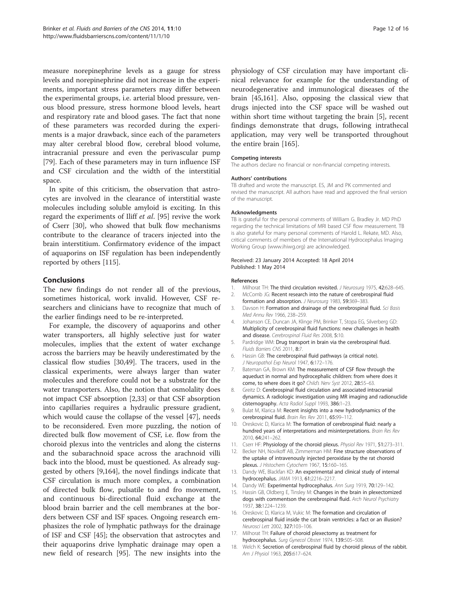<span id="page-11-0"></span>measure norepinephrine levels as a gauge for stress levels and norepinephrine did not increase in the experiments, important stress parameters may differ between the experimental groups, i.e. arterial blood pressure, venous blood pressure, stress hormone blood levels, heart and respiratory rate and blood gases. The fact that none of these parameters was recorded during the experiments is a major drawback, since each of the parameters may alter cerebral blood flow, cerebral blood volume, intracranial pressure and even the perivascular pump [[79\]](#page-13-0). Each of these parameters may in turn influence ISF and CSF circulation and the width of the interstitial space.

In spite of this criticism, the observation that astrocytes are involved in the clearance of interstitial waste molecules including soluble amyloid is exciting. In this regard the experiments of Iliff et al. [[95](#page-13-0)] revive the work of Cserr [[30\]](#page-12-0), who showed that bulk flow mechanisms contribute to the clearance of tracers injected into the brain interstitium. Confirmatory evidence of the impact of aquaporins on ISF regulation has been independently reported by others [[115](#page-13-0)].

#### Conclusions

The new findings do not render all of the previous, sometimes historical, work invalid. However, CSF researchers and clinicians have to recognize that much of the earlier findings need to be re-interpreted.

For example, the discovery of aquaporins and other water transporters, all highly selective just for water molecules, implies that the extent of water exchange across the barriers may be heavily underestimated by the classical flow studies [\[30,49\]](#page-12-0). The tracers, used in the classical experiments, were always larger than water molecules and therefore could not be a substrate for the water transporters. Also, the notion that osmolality does not impact CSF absorption [2,[33](#page-12-0)] or that CSF absorption into capillaries requires a hydraulic pressure gradient, which would cause the collapse of the vessel [[47\]](#page-12-0), needs to be reconsidered. Even more puzzling, the notion of directed bulk flow movement of CSF, i.e. flow from the choroid plexus into the ventricles and along the cisterns and the subarachnoid space across the arachnoid villi back into the blood, must be questioned. As already suggested by others [9,[164\]](#page-15-0), the novel findings indicate that CSF circulation is much more complex, a combination of directed bulk flow, pulsatile to and fro movement, and continuous bi-directional fluid exchange at the blood brain barrier and the cell membranes at the borders between CSF and ISF spaces. Ongoing research emphasizes the role of lymphatic pathways for the drainage of ISF and CSF [\[45](#page-12-0)]; the observation that astrocytes and their aquaporins drive lymphatic drainage may open a new field of research [[95](#page-13-0)]. The new insights into the physiology of CSF circulation may have important clinical relevance for example for the understanding of neurodegenerative and immunological diseases of the brain [[45,](#page-12-0)[161](#page-14-0)]. Also, opposing the classical view that drugs injected into the CSF space will be washed out within short time without targeting the brain [5], recent findings demonstrate that drugs, following intrathecal application, may very well be transported throughout the entire brain [\[165](#page-15-0)].

#### Competing interests

The authors declare no financial or non-financial competing interests.

#### Authors' contributions

TB drafted and wrote the manuscript. ES, JM and PK commented and revised the manuscript. All authors have read and approved the final version of the manuscript.

#### Acknowledgments

TB is grateful for the personal comments of William G. Bradley Jr. MD PhD regarding the technical limitations of MRI based CSF flow measurement. TB is also grateful for many personal comments of Harold L. Rekate, MD. Also, critical comments of members of the International Hydrocephalus Imaging Working Group ([www.ihiwg.org](http://www.ihiwg.org)) are acknowledged.

#### Received: 23 January 2014 Accepted: 18 April 2014 Published: 1 May 2014

#### References

- Milhorat TH: The third circulation revisited. J Neurosurg 1975, 42:628-645.
- 2. McComb JG: Recent research into the nature of cerebrospinal fluid formation and absorption. J Neurosurg 1983, 59:369-383.
- 3. Davson H: Formation and drainage of the cerebrospinal fluid. Sci Basis Med Annu Rev 1966, 238–259.
- 4. Johanson CE, Duncan JA, Klinge PM, Brinker T, Stopa EG, Silverberg GD: Multiplicity of cerebrospinal fluid functions: new challenges in health and disease. Cerebrospinal Fluid Res 2008, 5:10.
- 5. Pardridge WM: Drug transport in brain via the cerebrospinal fluid. Fluids Barriers CNS 2011, 8:7.
- 6. Hassin GB: The cerebrospinal fluid pathways (a critical note). J Neuropathol Exp Neurol 1947, 6:172–176.
- 7. Bateman GA, Brown KM: The measurement of CSF flow through the aqueduct in normal and hydrocephalic children: from where does it come, to where does it go? Child's Nerv Syst 2012, 28:55–63.
- 8. Greitz D: Cerebrospinal fluid circulation and associated intracranial dynamics. A radiologic investigation using MR imaging and radionuclide cisternography. Acta Radiol Suppl 1993, 386:1–23.
- 9. Bulat M, Klarica M: Recent insights into a new hydrodynamics of the cerebrospinal fluid. Brain Res Rev 2011, 65:99–112.
- 10. Oreskovic D, Klarica M: The formation of cerebrospinal fluid: nearly a hundred years of interpretations and misinterpretations. Brain Res Rev 2010, 64:241–262.
- 11. Cserr HF: Physiology of the choroid plexus. Physiol Rev 1971, 51:273-311.
- 12. Becker NH, Novikoff AB, Zimmerman HM: Fine structure observations of the uptake of intravenously injected peroxidase by the rat choroid plexus. J Histochem Cytochem 1967, 15:160–165.
- 13. Dandy WE, Blackfan KD: An experimental and clinical study of internal hydrocephalus. JAMA 1913, 61:2216–2217.
- 14. Dandy WE: Experimental hydrocephalus. Ann Surg 1919, 70:129-142.
- 15. Hassin GB, Oldberg E, Tinsley M: Changes in the brain in plexectomized dogs with commentson the cerebrospinal fluid. Arch Neurol Psychiatry 1937, 38:1224–1239.
- 16. Oreskovic D, Klarica M, Vukic M: The formation and circulation of cerebrospinal fluid inside the cat brain ventricles: a fact or an illusion? Neurosci Lett 2002, 327:103–106.
- 17. Milhorat TH: Failure of choroid plexectomy as treatment for hydrocephalus. Surg Gynecol Obstet 1974, 139:505–508.
- 18. Welch K: Secretion of cerebrospinal fluid by choroid plexus of the rabbit. Am J Physiol 1963, 205:617–624.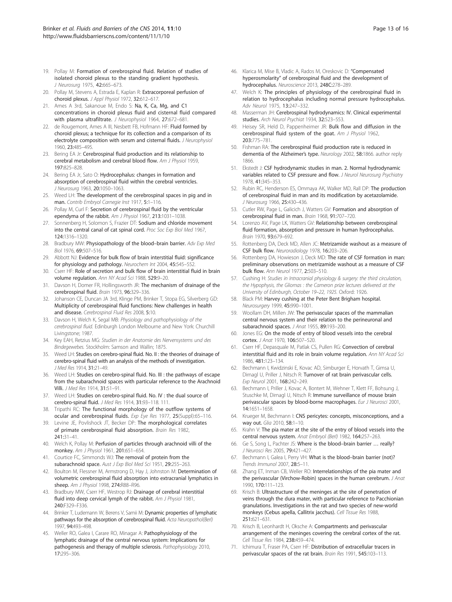- <span id="page-12-0"></span>19. Pollay M: Formation of cerebrospinal fluid. Relation of studies of isolated choroid plexus to the standing gradient hypothesis. J Neurosurg 1975, 42:665–673.
- 20. Pollay M, Stevens A, Estrada E, Kaplan R: Extracorporeal perfusion of choroid plexus. J Appl Physiol 1972, 32:612–617.
- 21. Ames A 3rd, Sakanoue M, Endo S: Na, K, Ca, Mg, and C1 concentrations in choroid plexus fluid and cisternal fluid compared with plasma ultrafiltrate. J Neurophysiol 1964, 27:672–681.
- 22. de Rougemont, Ames A III, Nesbett FB, Hofmann HF: Fluid formed by choroid plexus; a technique for its collection and a comparison of its electrolyte composition with serum and cisternal fluids. J Neurophysiol 1960, 23:485–495.
- 23. Bering EA Jr: Cerebrospinal fluid production and its relationship to cerebral metabolism and cerebral blood flow. Am J Physiol 1959, 197:825–828.
- 24. Bering EA Jr, Sato O: Hydrocephalus: changes in formation and absorption of cerebrospinal fluid within the cerebral ventricles. J Neurosurg 1963, 20:1050–1063.
- 25. Weed LH: The development of the cerebrospinal spaces in pig and in man. Contrib Embryol Carnegie Inst 1917, 5:1-116.
- 26. Pollay M, Curl F: Secretion of cerebrospinal fluid by the ventricular ependyma of the rabbit. Am J Physiol 1967, 213:1031–1038.
- 27. Sonnenberg H, Solomon S, Frazier DT: Sodium and chloride movement into the central canal of cat spinal cord. Proc Soc Exp Biol Med 1967, 124:1316–1320.
- 28. Bradbury MW: Physiopathology of the blood-brain barrier. Adv Exp Med Biol 1976, 69:507–516.
- 29. Abbott NJ: Evidence for bulk flow of brain interstitial fluid: significance for physiology and pathology. Neurochem Int 2004, 45:545–552.
- 30. Cserr HF: Role of secretion and bulk flow of brain interstitial fluid in brain volume regulation. Ann NY Acad Sci 1988, 529:9-20.
- 31. Davson H, Domer FR, Hollingsworth JR: The mechanism of drainage of the cerebrospinal fluid. Brain 1973, 96:329–336.
- 32. Johanson CE, Duncan JA 3rd, Klinge PM, Brinker T, Stopa EG, Silverberg GD: Multiplicity of cerebrospinal fluid functions: New challenges in health and disease. Cerebrospinal Fluid Res 2008, 5:10.
- 33. Davson H, Welch K, Segal MB: Physiology and pathophysiology of the cerebrospinal fluid. Edinburgh London Melbourne and New York: Churchill Livingstone; 1987.
- 34. Key EAH, Retzius MG: Studien in der Anatomie des Nervensystems und des Bindegewebes. Stockholm: Samson and Wallin; 1875.
- 35. Weed LH: Studies on cerebro-spinal fluid. No. II : the theories of drainage of cerebro-spinal fluid with an analysis of the methods of investigation. J Med Res 1914, 31:21–49.
- 36. Weed LH: Studies on cerebro-spinal fluid. No. III : the pathways of escape from the subarachnoid spaces with particular reference to the Arachnoid Villi. J Med Res 1914, 31:51–91.
- 37. Weed LH: Studies on cerebro-spinal fluid. No. IV : the dual source of cerebro-spinal fluid. J Med Res 1914, 31:93–118. 111.
- 38. Tripathi RC: The functional morphology of the outflow systems of ocular and cerebrospinal fluids. Exp Eye Res 1977, 25(Suppl):65–116.
- 39. Levine JE, Povlishock JT, Becker DP: The morphological correlates of primate cerebrospinal fluid absorption. Brain Res 1982, 241:31–41.
- 40. Welch K, Pollay M: Perfusion of particles through arachnoid villi of the monkey. Am J Physiol 1961, 201:651–654.
- 41. Courtice FC, Simmonds WJ: The removal of protein from the subarachnoid space. Aust J Exp Biol Med Sci 1951, 29:255-263.
- 42. Boulton M, Flessner M, Armstrong D, Hay J, Johnston M: Determination of volumetric cerebrospinal fluid absorption into extracranial lymphatics in sheep. Am J Physiol 1998, 274:R88-R96.
- 43. Bradbury MW, Cserr HF, Westrop RJ: Drainage of cerebral interstitial fluid into deep cervical lymph of the rabbit. Am J Physiol 1981, 240:F329–F336.
- 44. Brinker T, Ludemann W, Berens V, Samii M: Dynamic properties of lymphatic pathways for the absorption of cerebrospinal fluid. Acta Neuropathol(Berl) 1997, 94:493–498.
- 45. Weller RO, Galea I, Carare RO, Minagar A: Pathophysiology of the lymphatic drainage of the central nervous system: Implications for pathogenesis and therapy of multiple sclerosis. Pathophysiology 2010, 17:295–306.
- 46. Klarica M, Mise B, Vladic A, Rados M, Oreskovic D: "Compensated hyperosmolarity" of cerebrospinal fluid and the development of hydrocephalus. Neuroscience 2013, 248C:278-289.
- 47. Welch K: The principles of physiology of the cerebrospinal fluid in relation to hydrocephalus including normal pressure hydrocephalus. Adv Neurol 1975, 13:247–332.
- 48. Masserman JH: Cerebrospinal hydrodynamics: IV. Clinical experimental studies. Arch Neurol Psychiat 1934, 32:523-553.
- 49. Heisey SR, Held D, Pappenheimer JR: Bulk flow and diffusion in the cerebrospinal fluid system of the goat. Am J Physiol 1962, 203:775–781.
- 50. Fishman RA: The cerebrospinal fluid production rate is reduced in dementia of the Alzheimer's type. Neurology 2002, 58:1866. author reply 1866.
- 51. Ekstedt J: CSF hydrodynamic studies in man. 2. Normal hydrodynamic variables related to CSF pressure and flow. J Neurol Neurosurg Psychiatry 1978, 41:345–353.
- 52. Rubin RC, Henderson ES, Ommaya AK, Walker MD, Rall DP: The production of cerebrospinal fluid in man and its modification by acetazolamide. J Neurosurg 1966, 25:430–436.
- 53. Cutler RW, Page L, Galicich J, Watters GV: Formation and absorption of cerebrospinal fluid in man. Brain 1968, 91:707–720.
- 54. Lorenzo AV, Page LK, Watters GV: Relationship between cerebrospinal fluid formation, absorption and pressure in human hydrocephalus. Brain 1970, 93:679–692.
- 55. Rottenberg DA, Deck MD, Allen JC: Metrizamide washout as a measure of CSF bulk flow. Neuroradiology 1978, 16:203–206.
- 56. Rottenberg DA, Howieson J, Deck MD: The rate of CSF formation in man: preliminary observations on metrizamide washout as a measure of CSF bulk flow. Ann Neurol 1977, 2:503–510.
- 57. Cushing H: Studies in Intracranial physiology & surgery: the third circulation, the Hypophysis, the Gliomas : the Cameron prize lectures delivered at the University of Edinburgh, October 19–22, 1925. Oxford: 1926.
- Black PM: Harvey cushing at the Peter Bent Brigham hospital. Neurosurgery 1999, 45:990–1001.
- 59. Woollam DH, Millen JW: The perivascular spaces of the mammalian central nervous system and their relation to the perineuronal and subarachnoid spaces. J Anat 1955, 89:193-200.
- 60. Jones EG: On the mode of entry of blood vessels into the cerebral cortex. J Anat 1970, 106:507-520.
- 61. Cserr HF, Depasquale M, Patlak CS, Pullen RG: Convection of cerebral interstitial fluid and its role in brain volume regulation. Ann NY Acad Sci 1986, 481:123–134.
- 62. Bechmann I, Kwidzinski E, Kovac AD, Simburger E, Horvath T, Gimsa U, Dirnagl U, Priller J, Nitsch R: Turnover of rat brain perivascular cells. Exp Neurol 2001, 168:242–249.
- Bechmann I, Priller J, Kovac A, Bontert M, Wehner T, Klett FF, Bohsung J, Stuschke M, Dirnagl U, Nitsch R: Immune surveillance of mouse brain perivascular spaces by blood-borne macrophages. Eur J Neurosci 2001, 14:1651–1658.
- 64. Krueger M, Bechmann I: CNS pericytes: concepts, misconceptions, and a way out. Glia 2010, 58:1–10.
- 65. Krahn V: The pia mater at the site of the entry of blood vessels into the central nervous system. Anat Embryol (Berl) 1982, 164:257–263.
- 66. Ge S, Song L, Pachter JS: Where is the blood–brain barrier … really? J Neurosci Res 2005, 79:421–427.
- 67. Bechmann I, Galea I, Perry VH: What is the blood-brain barrier (not)? Trends Immunol 2007, 28:5–11.
- 68. Zhang ET, Inman CB, Weller RO: Interrelationships of the pia mater and the perivascular (Virchow-Robin) spaces in the human cerebrum. J Anat 1990, 170:111–123.
- 69. Krisch B: Ultrastructure of the meninges at the site of penetration of veins through the dura mater, with particular reference to Pacchionian granulations. Investigations in the rat and two species of new-world monkeys (Cebus apella, Callitrix jacchus). Cell Tissue Res 1988, 251:621–631.
- 70. Krisch B, Leonhardt H, Oksche A: Compartments and perivascular arrangement of the meninges covering the cerebral cortex of the rat. Cell Tissue Res 1984, 238:459–474.
- 71. Ichimura T, Fraser PA, Cserr HF: Distribution of extracellular tracers in perivascular spaces of the rat brain. Brain Res 1991, 545:103–113.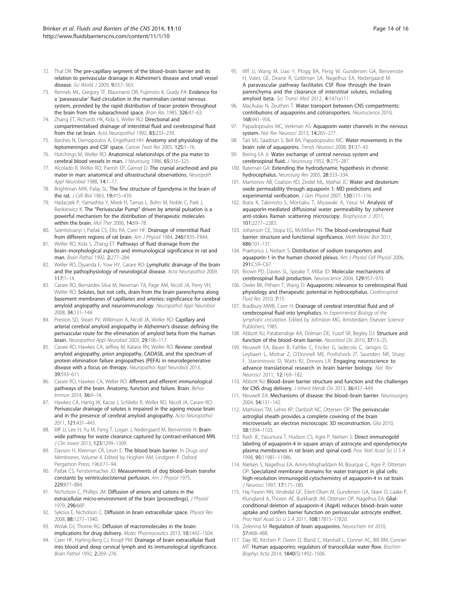- <span id="page-13-0"></span>72. Thal DR: The pre-capillary segment of the blood–brain barrier and its relation to perivascular drainage in Alzheimer's disease and small vessel disease. Sci World J 2009, 9:557-563.
- 73. Rennels ML, Gregory TF, Blaumanis OR, Fujimoto K, Grady PA: Evidence for a 'paravascular' fluid circulation in the mammalian central nervous system, provided by the rapid distribution of tracer protein throughout the brain from the subarachnoid space. Brain Res 1985, 326:47-63.
- 74. Zhang ET, Richards HK, Kida S, Weller RO: Directional and compartmentalised drainage of interstitial fluid and cerebrospinal fluid from the rat brain. Acta Neuropathol 1992, 83:233-239.
- Barshes N, Demopoulos A, Engelhard HH: Anatomy and physiology of the leptomeninges and CSF space. Cancer Treat Res 2005, 125:1–16.
- 76. Hutchings M, Weller RO: Anatomical relationships of the pia mater to cerebral blood vessels in man. J Neurosurg 1986, 65:316-325.
- 77. Alcolado R, Weller RO, Parrish EP, Garrod D: The cranial arachnoid and pia mater in man: anatomical and ultrastructural observations. Neuropath Appl Neurobiol 1988, 14:1–17.
- 78. Brightman MW, Palay SL: The fine structure of Ependyma in the brain of the rat. *J Cell Biol* 1963, 19:415-439.
- 79. Hadaczek P, Yamashita Y, Mirek H, Tamas L, Bohn M, Noble C, Park J, Bankiewicz K: The "Perivascular Pump" driven by arterial pulsation is a powerful mechanism for the distribution of therapeutic molecules within the brain. Mol Ther 2006, 14:69–78.
- 80. Szentistvanyi I, Patlak CS, Ellis RA, Cserr HF: Drainage of interstitial fluid from different regions of rat brain. Am J Physiol 1984, 246:F835–F844.
- 81. Weller RO, Kida S, Zhang ET: Pathways of fluid drainage from the brain–morphological aspects and immunological significance in rat and man. Brain Pathol 1992, 2:277–284.
- 82. Weller RO, Djuanda E, Yow HY, Carare RO: Lymphatic drainage of the brain and the pathophysiology of neurological disease. Acta Neuropathol 2009, 117:1–14.
- 83. Carare RO, Bernardes-Silva M, Newman TA, Page AM, Nicoll JA, Perry VH, Weller RO: Solutes, but not cells, drain from the brain parenchyma along basement membranes of capillaries and arteries: significance for cerebral amyloid angiopathy and neuroimmunology. Neuropathol Appl Neurobiol 2008, 34:131–144.
- 84. Preston SD, Steart PV, Wilkinson A, Nicoll JA, Weller RO: Capillary and arterial cerebral amyloid angiopathy in Alzheimer's disease: defining the perivascular route for the elimination of amyloid beta from the human brain. Neuropathol Appl Neurobiol 2003, 29:106–117.
- 85. Carare RO, Hawkes CA, Jeffrey M, Kalaria RN, Weller RO: Review: cerebral amyloid angiopathy, prion angiopathy, CADASIL and the spectrum of protein elimination failure angiopathies (PEFA) in neurodegenerative disease with a focus on therapy. Neuropathol Appl Neurobiol 2013, 39:593–611.
- 86. Carare RO, Hawkes CA, Weller RO: Afferent and efferent immunological pathways of the brain. Anatomy, function and failure. Brain. Behav Immun 2014, 36:9–14.
- 87. Hawkes CA, Hartig W, Kacza J, Schliebs R, Weller RO, Nicoll JA, Carare RO: Perivascular drainage of solutes is impaired in the ageing mouse brain and in the presence of cerebral amyloid angiopathy. Acta Neuropathol 2011, 121:431–443.
- 88. Iliff JJ, Lee H, Yu M, Feng T, Logan J, Nedergaard M, Benveniste H: Brainwide pathway for waste clearance captured by contrast-enhanced MRI. J Clin Invest 2013, 123:1299–1309.
- 89. Davson H, Kleeman CR, Levin E: The blood brain barrier. In Drugs and Membranes, Volume 4. Edited by Hoghen AM, Lindgren P. Oxford: Pergamon Press; 1963:71–94.
- 90. Patlak CS, Fenstermacher JD: Measurements of dog blood–brain transfer constants by ventriculocisternal perfusion. Am J Physiol 1975, 229:877–884.
- 91. Nicholson C, Phillips JM: Diffusion of anions and cations in the extracellular micro-environment of the brain [proceedings]. J Physiol 1979, 296:66P.
- 92. Sykova E, Nicholson C: Diffusion in brain extracellular space. Physiol Rev 2008, 88:1277–1340.
- 93. Wolak DJ, Thorne RG: Diffusion of macromolecules in the brain: implications for drug delivery. Molec Pharmaceutics 2013, 10:1492–1504.
- 94. Cserr HF, Harling-Berg CJ, Knopf PM: Drainage of brain extracellular fluid into blood and deep cervical lymph and its immunological significance. Brain Pathol 1992, 2:269–276.
- 95. Iliff JJ, Wang M, Liao Y, Plogg BA, Peng W, Gundersen GA, Benveniste H, Vates GE, Deane R, Goldman SA, Nagelhus EA, Nedergaard M: A paravascular pathway facilitates CSF flow through the brain parenchyma and the clearance of interstitial solutes, including amyloid beta. Sci Transl Med 2012, 4:147ra111.
- 96. MacAulay N, Zeuthen T: Water transport between CNS compartments: contributions of aquaporins and cotransporters. Neuroscience 2010, 168:941–956.
- 97. Papadopoulos MC, Verkman AS: Aquaporin water channels in the nervous system. Nat Rev Neurosci 2013, 14:265–277.
- 98. Tait MJ, Saadoun S, Bell BA, Papadopoulos MC: Water movements in the brain: role of aquaporins. Trends Neurosci 2008, 31:37–43.
- 99. Bering EA Jr: Water exchange of central nervous system and cerebrospinal fluid. J Neurosurg 1952, 9:275–287.
- 100. Bateman GA: Extending the hydrodynamic hypothesis in chronic hydrocephalus. Neurosurg Rev 2005, 28:333–334.
- 101. Mamonov AB, Coalson RD, Zeidel ML, Mathai JC: Water and deuterium oxide permeability through aquaporin 1: MD predictions and experimental verification. J Gen Physiol 2007, 130:111–116.
- 102. Ibata K, Takimoto S, Morisaku T, Miyawaki A, Yasui M: Analysis of aquaporin-mediated diffusional water permeability by coherent anti-stokes Raman scattering microscopy. Biophysical J 2011, 101:2277–2283.
- 103. Johanson CE, Stopa EG, McMillan PN: The blood-cerebrospinal fluid barrier: structure and functional significance. Meth Molec Biol 2011, 686:101–131.
- 104. Praetorius J, Nielsen S: Distribution of sodium transporters and aquaporin-1 in the human choroid plexus. Am J Physiol Cell Physiol 2006, 291:C59–C67.
- 105. Brown PD, Davies SL, Speake T, Millar ID: Molecular mechanisms of cerebrospinal fluid production. Neuroscience 2004, 129:957–970.
- 106. Owler BK, Pitham T, Wang D: Aquaporins: relevance to cerebrospinal fluid physiology and therapeutic potential in hydrocephalus. Cerebrospinal Fluid Res 2010, 7:15.
- 107. Bradbury MWB, Cserr H: Drainage of cerebral interstitial fluid and of cerebrospinal fluid into lymphatics. In Experimental Biology of the lymphatic circulation. Edited by Johnston MG. Amsterdam: Elsevier Science Publishers: 1985.
- 108. Abbott NJ, Patabendige AA, Dolman DE, Yusof SR, Begley DJ: Structure and function of the blood–brain barrier. Neurobiol Dis 2010, 37:13–25.
- 109. Neuwelt EA, Bauer B, Fahlke C, Fricker G, Iadecola C, Janigro D, Leybaert L, Molnar Z, O'Donnell ME, Povlishock JT, Saunders NR, Sharp F, Stanimirovic D, Watts RJ, Drewes LR: Engaging neuroscience to advance translational research in brain barrier biology. Nat Rev Neurosci 2011, 12:169–182.
- 110. Abbott NJ: Blood–brain barrier structure and function and the challenges for CNS drug delivery. J Inherit Metab Dis 2013, 36:437–449.
- 111. Neuwelt EA: Mechanisms of disease: the blood–brain barrier. Neurosurgery 2004, 54:131–142.
- 112. Mathiisen TM, Lehre KP, Danbolt NC, Ottersen OP: The perivascular astroglial sheath provides a complete covering of the brain microvessels: an electron microscopic 3D reconstruction. Glia 2010, 58:1094–1103.
- 113. Rash JE, Yasumura T, Hudson CS, Agre P, Nielsen S: Direct immunogold labeling of aquaporin-4 in square arrays of astrocyte and ependymocyte plasma membranes in rat brain and spinal cord. Proc Natl Acad Sci U S A 1998, 95:11981–11986.
- 114. Nielsen S, Nagelhus EA, Amiry-Moghaddam M, Bourque C, Agre P, Ottersen OP: Specialized membrane domains for water transport in glial cells: high-resolution immunogold cytochemistry of aquaporin-4 in rat brain. J Neurosci 1997, 17:171–180.
- 115. Haj-Yasein NN, Vindedal GF, Eilert-Olsen M, Gundersen GA, Skare O, Laake P, Klungland A, Thoren AE, Burkhardt JM, Ottersen OP, Nagelhus EA: Glialconditional deletion of aquaporin-4 (Aqp4) reduces blood–brain water uptake and confers barrier function on perivascular astrocyte endfeet. Proc Natl Acad Sci U S A 2011, 108:17815–17820.
- 116. Zelenina M: Regulation of brain aquaporins. Neurochem Int 2010, 57:468–488.
- 117. Day RE, Kitchen P, Owen D, Bland C, Marshall L, Conner AC, Bill RM, Conner MT: Human aquaporins: regulators of transcellular water flow. Biochim Biophys Acta 2014, 1840(5):1492–1506.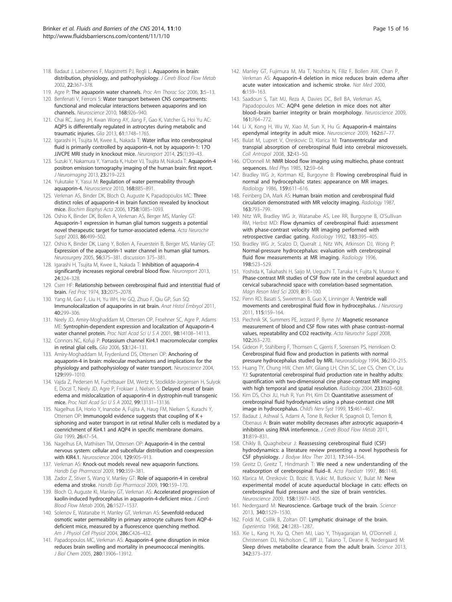- <span id="page-14-0"></span>118. Badaut J, Lasbennes F, Magistretti PJ, Regli L: Aquaporins in brain: distribution, physiology, and pathophysiology. J Cereb Blood Flow Metab 2002, 22:367–378.
- 119. Agre P: The aquaporin water channels. Proc Am Thorac Soc 2006, 3:5-13.
- 120. Benfenati V, Ferroni S: Water transport between CNS compartments: functional and molecular interactions between aquaporins and ion channels. Neuroscience 2010, 168:926–940.
- 121. Chai RC, Jiang JH, Kwan Wong AY, Jiang F, Gao K, Vatcher G, Hoi Yu AC: AQP5 is differentially regulated in astrocytes during metabolic and traumatic injuries. Glia 2013, 61:1748–1765.
- 122. Igarashi H, Tsujita M, Kwee IL, Nakada T: Water influx into cerebrospinal fluid is primarily controlled by aquaporin-4, not by aquaporin-1: 17O JJVCPE MRI study in knockout mice. Neuroreport 2014, 25(1):39–43.
- 123. Suzuki Y, Nakamura Y, Yamada K, Huber VJ, Tsujita M, Nakada T: Aquaporin-4 positron emission tomography imaging of the human brain: first report. J Neuroimaging 2013, 23:219–223.
- 124. Yukutake Y, Yasui M: Regulation of water permeability through aquaporin-4. Neuroscience 2010, 168:885–891.
- 125. Verkman AS, Binder DK, Bloch O, Auguste K, Papadopoulos MC: Three distinct roles of aquaporin-4 in brain function revealed by knockout mice. Biochim Biophys Acta 2006, 1758:1085–1093.
- 126. Oshio K, Binder DK, Bollen A, Verkman AS, Berger MS, Manley GT: Aquaporin-1 expression in human glial tumors suggests a potential novel therapeutic target for tumor-associated edema. Acta Neurochir Suppl 2003, 86:499–502.
- 127. Oshio K, Binder DK, Liang Y, Bollen A, Feuerstein B, Berger MS, Manley GT: Expression of the aquaporin-1 water channel in human glial tumors. Neurosurgery 2005, 56:375–381. discussion 375–381.
- 128. Igarashi H, Tsujita M, Kwee IL, Nakada T: Inhibition of aquaporin-4 significantly increases regional cerebral blood flow. Neuroreport 2013, 24:324–328.
- 129. Cserr HF: Relationship between cerebrospinal fluid and interstitial fluid of brain. Fed Proc 1974, 33:2075–2078.
- 130. Yang M, Gao F, Liu H, Yu WH, He GQ, Zhuo F, Qiu GP, Sun SQ: Immunolocalization of aquaporins in rat brain. Anat Histol Embryol 2011, 40:299–306.
- 131. Neely JD, Amiry-Moghaddam M, Ottersen OP, Froehner SC, Agre P, Adams ME: Syntrophin-dependent expression and localization of Aquaporin-4 water channel protein. Proc Natl Acad Sci U S A 2001, 98:14108–14113.
- 132. Connors NC, Kofuji P: Potassium channel Kir4.1 macromolecular complex in retinal glial cells. Glia 2006, 53:124–131.
- 133. Amiry-Moghaddam M, Frydenlund DS, Ottersen OP: Anchoring of aquaporin-4 in brain: molecular mechanisms and implications for the physiology and pathophysiology of water transport. Neuroscience 2004, 129:999–1010.
- 134. Vajda Z, Pedersen M, Fuchtbauer EM, Wertz K, Stodkilde-Jorgensen H, Sulyok E, Doczi T, Neely JD, Agre P, Frokiaer J, Nielsen S: Delayed onset of brain edema and mislocalization of aquaporin-4 in dystrophin-null transgenic mice. Proc Natl Acad Sci U S A 2002, 99:13131–13136.
- 135. Nagelhus EA, Horio Y, Inanobe A, Fujita A, Haug FM, Nielsen S, Kurachi Y, Ottersen OP: Immunogold evidence suggests that coupling of K + siphoning and water transport in rat retinal Muller cells is mediated by a coenrichment of Kir4.1 and AQP4 in specific membrane domains. Glia 1999, 26:47–54.
- 136. Nagelhus EA, Mathiisen TM, Ottersen OP: Aquaporin-4 in the central nervous system: cellular and subcellular distribution and coexpression with KIR4.1. Neuroscience 2004, 129:905–913.
- 137. Verkman AS: Knock-out models reveal new aquaporin functions. Handb Exp Pharmacol 2009, 190:359–381.
- 138. Zador Z, Stiver S, Wang V, Manley GT: Role of aquaporin-4 in cerebral edema and stroke. Handb Exp Pharmacol 2009, 190:159–170.
- 139. Bloch O, Auguste KI, Manley GT, Verkman AS: Accelerated progression of kaolin-induced hydrocephalus in aquaporin-4-deficient mice. J Cereb Blood Flow Metab 2006, 26:1527–1537.
- 140. Solenov E, Watanabe H, Manley GT, Verkman AS: Sevenfold-reduced osmotic water permeability in primary astrocyte cultures from AQP-4 deficient mice, measured by a fluorescence quenching method. Am J Physiol Cell Physiol 2004, 286:C426-432.
- 141. Papadopoulos MC, Verkman AS: Aquaporin-4 gene disruption in mice reduces brain swelling and mortality in pneumococcal meningitis. J Biol Chem 2005, 280:13906–13912.
- 142. Manley GT, Fujimura M, Ma T, Noshita N, Filiz F, Bollen AW, Chan P, Verkman AS: Aquaporin-4 deletion in mice reduces brain edema after acute water intoxication and ischemic stroke. Nat Med 2000, 6:159–163.
- 143. Saadoun S, Tait MJ, Reza A, Davies DC, Bell BA, Verkman AS, Papadopoulos MC: AQP4 gene deletion in mice does not alter blood–brain barrier integrity or brain morphology. Neuroscience 2009, 161:764–772.
- 144. Li X, Kong H, Wu W, Xiao M, Sun X, Hu G: Aquaporin-4 maintains ependymal integrity in adult mice. Neuroscience 2009, 162:67–77.
- 145. Bulat M, Lupret V, Oreskovic D, Klarica M: Transventricular and transpial absorption of cerebrospinal fluid into cerebral microvessels. Coll Antropol 2008, 32:43–50.
- 146. O'Donnell M: NMR blood flow imaging using multiecho, phase contrast sequences. Med Phys 1985, 12:59–64.
- 147. Bradley WG Jr, Kortman KE, Burgoyne B: Flowing cerebrospinal fluid in normal and hydrocephalic states: appearance on MR images. Radiology 1986, 159:611–616.
- 148. Feinberg DA, Mark AS: Human brain motion and cerebrospinal fluid circulation demonstrated with MR velocity imaging. Radiology 1987, 163:793–799.
- 149. Nitz WR, Bradley WG Jr, Watanabe AS, Lee RR, Burgoyne B, O'Sullivan RM, Herbst MD: Flow dynamics of cerebrospinal fluid: assessment with phase-contrast velocity MR imaging performed with retrospective cardiac gating. Radiology 1992, 183:395–405.
- 150. Bradley WG Jr, Scalzo D, Queralt J, Nitz WN, Atkinson DJ, Wong P: Normal-pressure hydrocephalus: evaluation with cerebrospinal fluid flow measurements at MR imaging. Radiology 1996, 198:523–529.
- 151. Yoshida K, Takahashi H, Saijo M, Ueguchi T, Tanaka H, Fujita N, Murase K: Phase-contrast MR studies of CSF flow rate in the cerebral aqueduct and cervical subarachnoid space with correlation-based segmentation. Magn Reson Med Sci 2009, 8:91–100.
- 152. Penn RD, Basati S, Sweetman B, Guo X, Linninger A: Ventricle wall movements and cerebrospinal fluid flow in hydrocephalus. J Neurosurg 2011, 115:159–164.
- 153. Piechnik SK, Summers PE, Jezzard P, Byrne JV: Magnetic resonance measurement of blood and CSF flow rates with phase contrast–normal values, repeatability and CO2 reactivity. Acta Neurochir Suppl 2008, 102:263–270.
- 154. Gideon P, Stahlberg F, Thomsen C, Gjerris F, Sorensen PS, Henriksen O: Cerebrospinal fluid flow and production in patients with normal pressure hydrocephalus studied by MRI. Neuroradiology 1994, 36:210-215.
- 155. Huang TY, Chung HW, Chen MY, Giiang LH, Chin SC, Lee CS, Chen CY, Liu YJ: Supratentorial cerebrospinal fluid production rate in healthy adults: quantification with two-dimensional cine phase-contrast MR imaging with high temporal and spatial resolution. Radiology 2004, 233:603–608.
- 156. Kim DS, Choi JU, Huh R, Yun PH, Kim DI: Quantitative assessment of cerebrospinal fluid hydrodynamics using a phase-contrast cine MR image in hydrocephalus. Child's Nerv Syst 1999, 15:461–467.
- 157. Badaut J, Ashwal S, Adami A, Tone B, Recker R, Spagnoli D, Ternon B, Obenaus A: Brain water mobility decreases after astrocytic aquaporin-4 inhibition using RNA interference. *J Cereb Blood Flow Metab* 2011, 31:819–831.
- 158. Chikly B, Quaghebeur J: Reassessing cerebrospinal fluid (CSF) hydrodynamics: a literature review presenting a novel hypothesis for CSF physiology. J Bodyw Mov Ther 2013, 17:344-354.
- 159. Greitz D, Greitz T, Hindmarsh T: We need a new understanding of the reabsorption of cerebrospinal fluid–II. Acta Paediatr 1997, 86:1148.
- 160. Klarica M, Oreskovic D, Bozic B, Vukic M, Butkovic V, Bulat M: New experimental model of acute aqueductal blockage in cats: effects on cerebrospinal fluid pressure and the size of brain ventricles. Neuroscience 2009, 158:1397–1405.
- 161. Nedergaard M: Neuroscience. Garbage truck of the brain. Science 2013, 340:1529–1530.
- 162. Foldi M, Csillik B, Zoltan OT: Lymphatic drainage of the brain. Experientia 1968, 24:1283–1287.
- 163. Xie L, Kang H, Xu Q, Chen MJ, Liao Y, Thiyagarajan M, O'Donnell J, Christensen DJ, Nicholson C, Iliff JJ, Takano T, Deane R, Nedergaard M: Sleep drives metabolite clearance from the adult brain. Science 2013, 342:373–377.